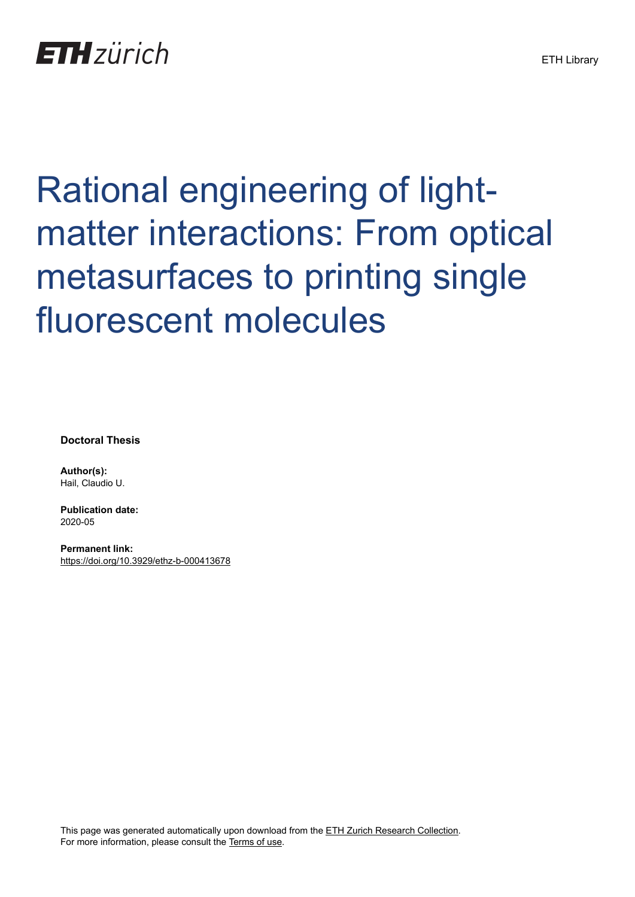# Rational engineering of lightmatter interactions: From optical metasurfaces to printing single fluorescent molecules

**Doctoral Thesis**

**Author(s):** Hail, Claudio U.

**Publication date:** 2020-05

**Permanent link:** <https://doi.org/10.3929/ethz-b-000413678>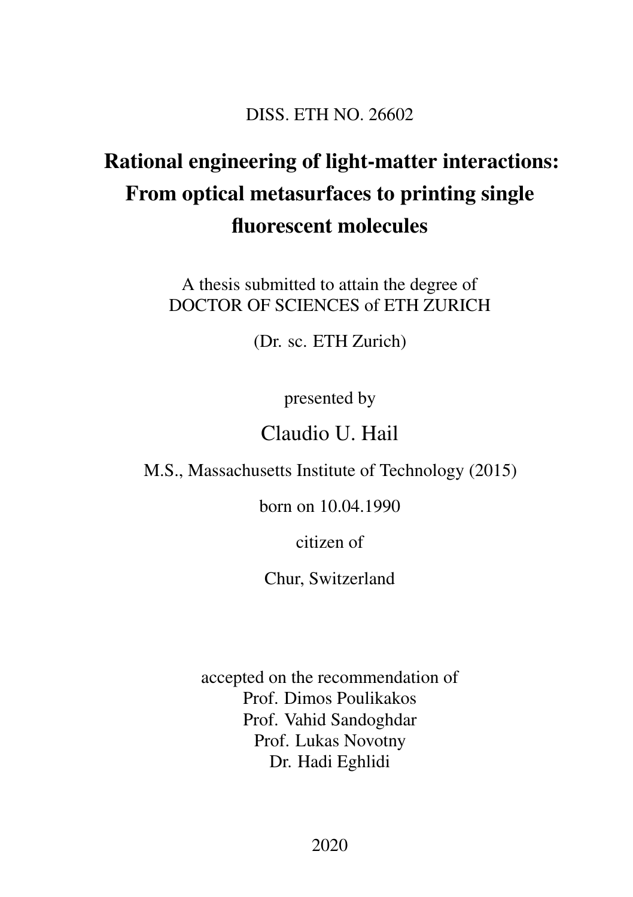#### DISS. ETH NO. 26602

## Rational engineering of light-matter interactions: From optical metasurfaces to printing single fluorescent molecules

A thesis submitted to attain the degree of DOCTOR OF SCIENCES of ETH ZURICH

(Dr. sc. ETH Zurich)

presented by

### Claudio U. Hail

M.S., Massachusetts Institute of Technology (2015)

born on 10.04.1990

citizen of

Chur, Switzerland

accepted on the recommendation of Prof. Dimos Poulikakos Prof. Vahid Sandoghdar Prof. Lukas Novotny Dr. Hadi Eghlidi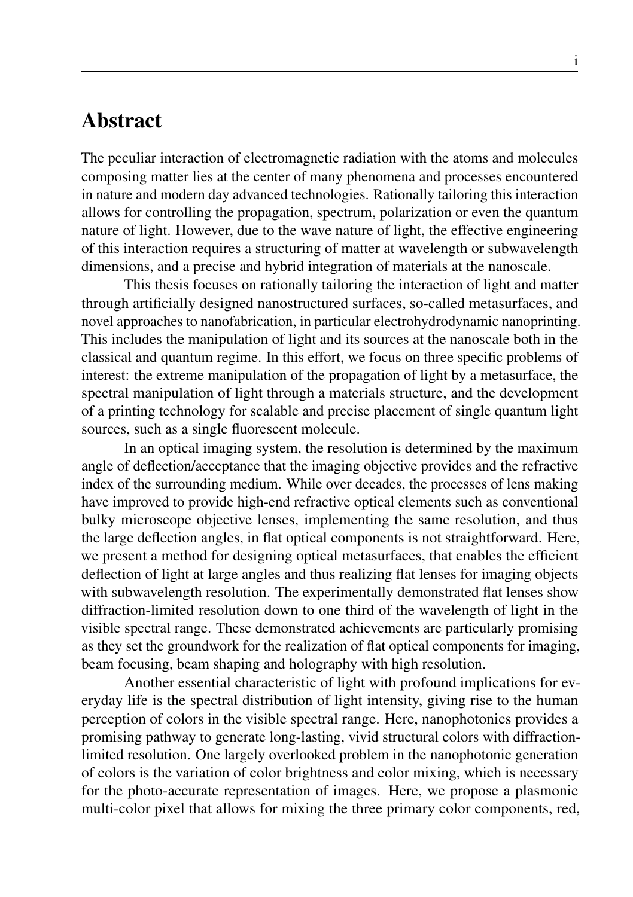#### Abstract

The peculiar interaction of electromagnetic radiation with the atoms and molecules composing matter lies at the center of many phenomena and processes encountered in nature and modern day advanced technologies. Rationally tailoring this interaction allows for controlling the propagation, spectrum, polarization or even the quantum nature of light. However, due to the wave nature of light, the effective engineering of this interaction requires a structuring of matter at wavelength or subwavelength dimensions, and a precise and hybrid integration of materials at the nanoscale.

This thesis focuses on rationally tailoring the interaction of light and matter through artificially designed nanostructured surfaces, so-called metasurfaces, and novel approaches to nanofabrication, in particular electrohydrodynamic nanoprinting. This includes the manipulation of light and its sources at the nanoscale both in the classical and quantum regime. In this effort, we focus on three specific problems of interest: the extreme manipulation of the propagation of light by a metasurface, the spectral manipulation of light through a materials structure, and the development of a printing technology for scalable and precise placement of single quantum light sources, such as a single fluorescent molecule.

In an optical imaging system, the resolution is determined by the maximum angle of deflection/acceptance that the imaging objective provides and the refractive index of the surrounding medium. While over decades, the processes of lens making have improved to provide high-end refractive optical elements such as conventional bulky microscope objective lenses, implementing the same resolution, and thus the large deflection angles, in flat optical components is not straightforward. Here, we present a method for designing optical metasurfaces, that enables the efficient deflection of light at large angles and thus realizing flat lenses for imaging objects with subwavelength resolution. The experimentally demonstrated flat lenses show diffraction-limited resolution down to one third of the wavelength of light in the visible spectral range. These demonstrated achievements are particularly promising as they set the groundwork for the realization of flat optical components for imaging, beam focusing, beam shaping and holography with high resolution.

Another essential characteristic of light with profound implications for everyday life is the spectral distribution of light intensity, giving rise to the human perception of colors in the visible spectral range. Here, nanophotonics provides a promising pathway to generate long-lasting, vivid structural colors with diffractionlimited resolution. One largely overlooked problem in the nanophotonic generation of colors is the variation of color brightness and color mixing, which is necessary for the photo-accurate representation of images. Here, we propose a plasmonic multi-color pixel that allows for mixing the three primary color components, red,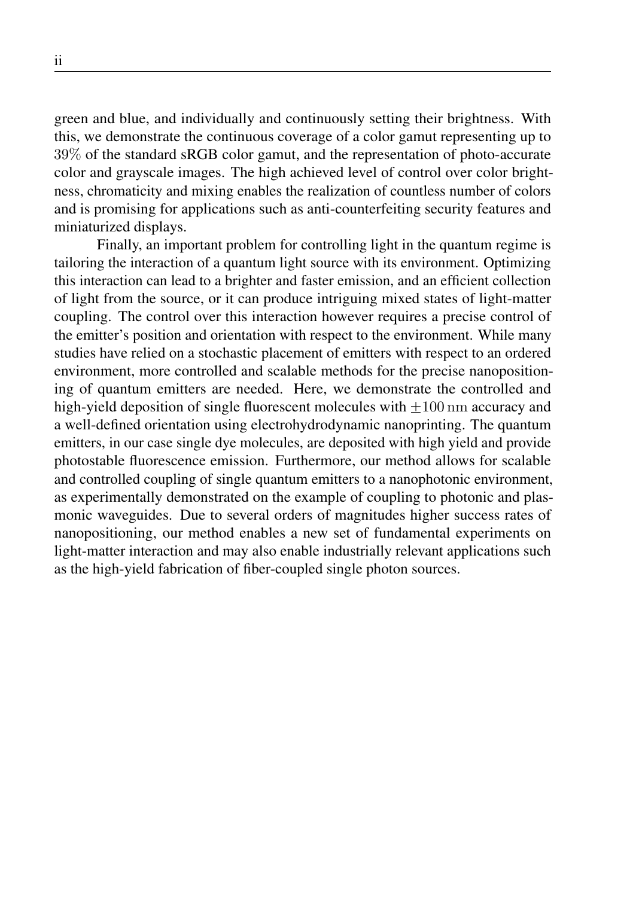green and blue, and individually and continuously setting their brightness. With this, we demonstrate the continuous coverage of a color gamut representing up to 39% of the standard sRGB color gamut, and the representation of photo-accurate color and grayscale images. The high achieved level of control over color brightness, chromaticity and mixing enables the realization of countless number of colors and is promising for applications such as anti-counterfeiting security features and miniaturized displays.

Finally, an important problem for controlling light in the quantum regime is tailoring the interaction of a quantum light source with its environment. Optimizing this interaction can lead to a brighter and faster emission, and an efficient collection of light from the source, or it can produce intriguing mixed states of light-matter coupling. The control over this interaction however requires a precise control of the emitter's position and orientation with respect to the environment. While many studies have relied on a stochastic placement of emitters with respect to an ordered environment, more controlled and scalable methods for the precise nanopositioning of quantum emitters are needed. Here, we demonstrate the controlled and high-yield deposition of single fluorescent molecules with  $\pm 100$  nm accuracy and a well-defined orientation using electrohydrodynamic nanoprinting. The quantum emitters, in our case single dye molecules, are deposited with high yield and provide photostable fluorescence emission. Furthermore, our method allows for scalable and controlled coupling of single quantum emitters to a nanophotonic environment, as experimentally demonstrated on the example of coupling to photonic and plasmonic waveguides. Due to several orders of magnitudes higher success rates of nanopositioning, our method enables a new set of fundamental experiments on light-matter interaction and may also enable industrially relevant applications such as the high-yield fabrication of fiber-coupled single photon sources.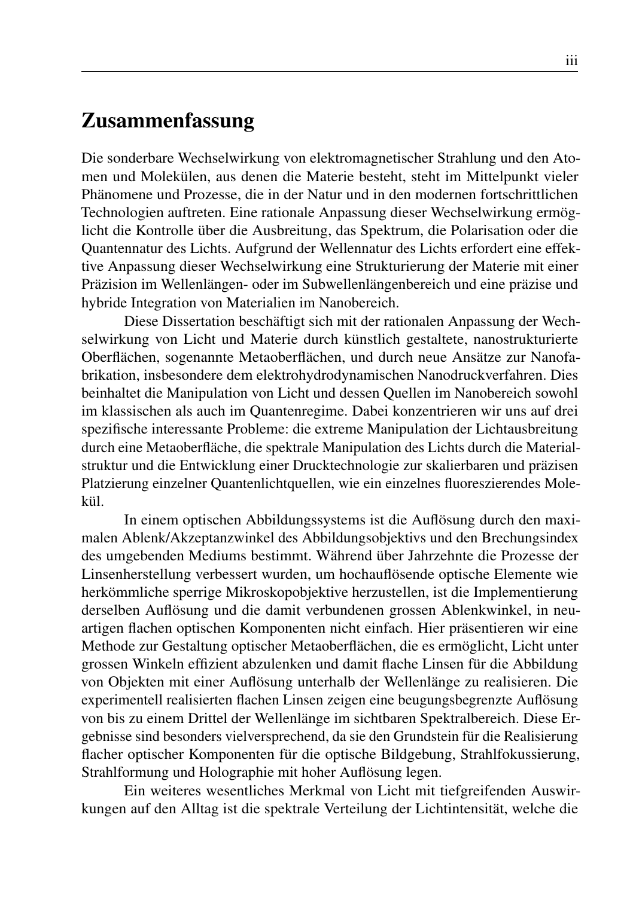#### Zusammenfassung

Die sonderbare Wechselwirkung von elektromagnetischer Strahlung und den Atomen und Molekülen, aus denen die Materie besteht, steht im Mittelpunkt vieler Phänomene und Prozesse, die in der Natur und in den modernen fortschrittlichen Technologien auftreten. Eine rationale Anpassung dieser Wechselwirkung ermöglicht die Kontrolle über die Ausbreitung, das Spektrum, die Polarisation oder die Quantennatur des Lichts. Aufgrund der Wellennatur des Lichts erfordert eine effektive Anpassung dieser Wechselwirkung eine Strukturierung der Materie mit einer Präzision im Wellenlängen- oder im Subwellenlängenbereich und eine präzise und hybride Integration von Materialien im Nanobereich.

Diese Dissertation beschäftigt sich mit der rationalen Anpassung der Wechselwirkung von Licht und Materie durch künstlich gestaltete, nanostrukturierte Oberflächen, sogenannte Metaoberflächen, und durch neue Ansätze zur Nanofabrikation, insbesondere dem elektrohydrodynamischen Nanodruckverfahren. Dies beinhaltet die Manipulation von Licht und dessen Quellen im Nanobereich sowohl im klassischen als auch im Quantenregime. Dabei konzentrieren wir uns auf drei spezifische interessante Probleme: die extreme Manipulation der Lichtausbreitung durch eine Metaoberfläche, die spektrale Manipulation des Lichts durch die Materialstruktur und die Entwicklung einer Drucktechnologie zur skalierbaren und präzisen Platzierung einzelner Quantenlichtquellen, wie ein einzelnes fluoreszierendes Molekül.

In einem optischen Abbildungssystems ist die Auflösung durch den maximalen Ablenk/Akzeptanzwinkel des Abbildungsobjektivs und den Brechungsindex des umgebenden Mediums bestimmt. Während über Jahrzehnte die Prozesse der Linsenherstellung verbessert wurden, um hochauflösende optische Elemente wie herkömmliche sperrige Mikroskopobjektive herzustellen, ist die Implementierung derselben Auflösung und die damit verbundenen grossen Ablenkwinkel, in neuartigen flachen optischen Komponenten nicht einfach. Hier präsentieren wir eine Methode zur Gestaltung optischer Metaoberflächen, die es ermöglicht, Licht unter grossen Winkeln effizient abzulenken und damit flache Linsen für die Abbildung von Objekten mit einer Auflösung unterhalb der Wellenlänge zu realisieren. Die experimentell realisierten flachen Linsen zeigen eine beugungsbegrenzte Auflösung von bis zu einem Drittel der Wellenlänge im sichtbaren Spektralbereich. Diese Ergebnisse sind besonders vielversprechend, da sie den Grundstein für die Realisierung flacher optischer Komponenten für die optische Bildgebung, Strahlfokussierung, Strahlformung und Holographie mit hoher Auflösung legen.

Ein weiteres wesentliches Merkmal von Licht mit tiefgreifenden Auswirkungen auf den Alltag ist die spektrale Verteilung der Lichtintensität, welche die